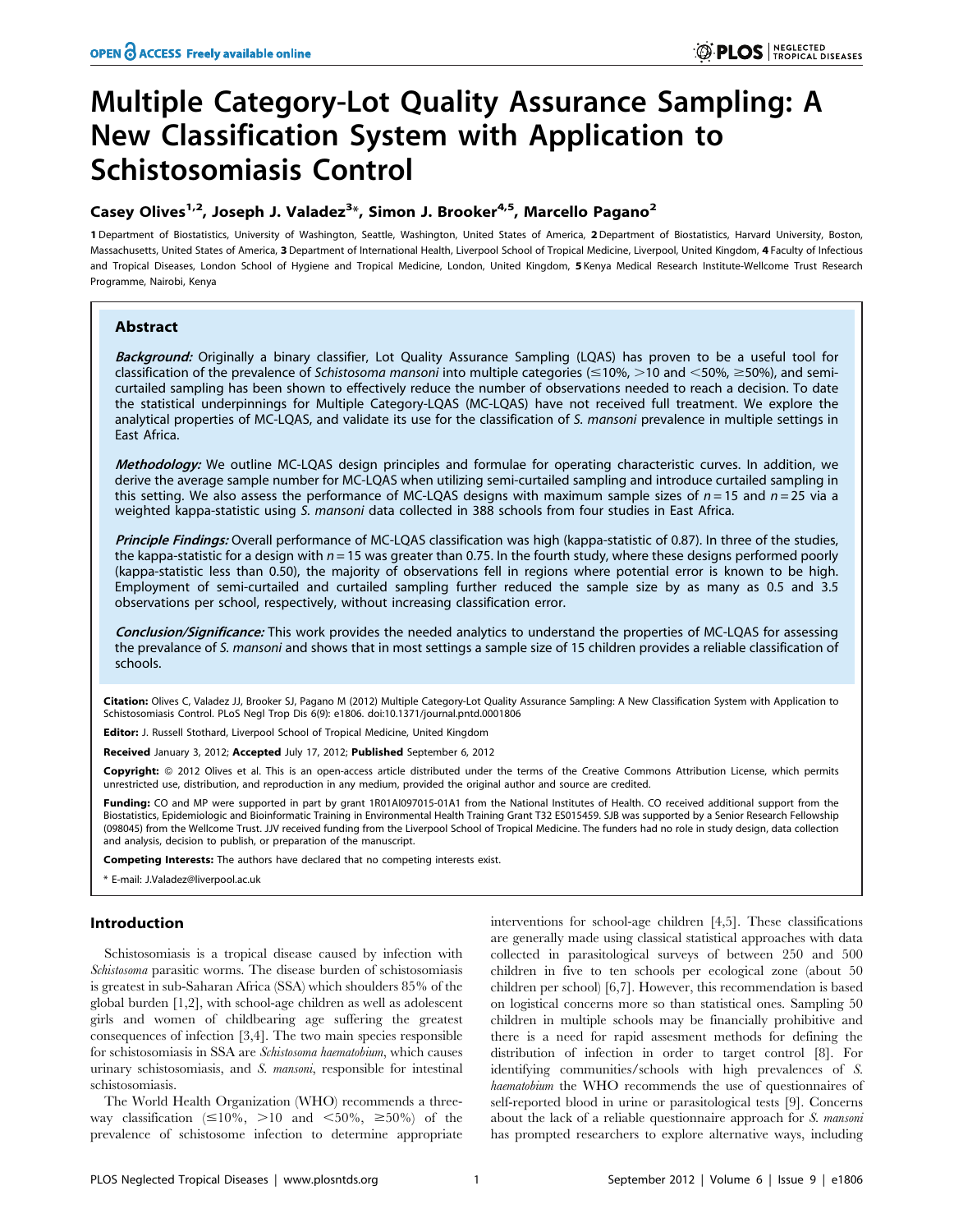# Multiple Category-Lot Quality Assurance Sampling: A New Classification System with Application to Schistosomiasis Control

# Casey Olives<sup>1,2</sup>, Joseph J. Valadez<sup>3</sup>\*, Simon J. Brooker<sup>4,5</sup>, Marcello Pagano<sup>2</sup>

1 Department of Biostatistics, University of Washington, Seattle, Washington, United States of America, 2Department of Biostatistics, Harvard University, Boston, Massachusetts, United States of America, 3 Department of International Health, Liverpool School of Tropical Medicine, Liverpool, United Kingdom, 4 Faculty of Infectious and Tropical Diseases, London School of Hygiene and Tropical Medicine, London, United Kingdom, 5 Kenya Medical Research Institute-Wellcome Trust Research Programme, Nairobi, Kenya

# Abstract

Background: Originally a binary classifier, Lot Quality Assurance Sampling (LQAS) has proven to be a useful tool for classification of the prevalence of Schistosoma mansoni into multiple categories ( $\leq$ 10%, >10 and  $\leq$ 50%,  $\geq$ 50%), and semicurtailed sampling has been shown to effectively reduce the number of observations needed to reach a decision. To date the statistical underpinnings for Multiple Category-LQAS (MC-LQAS) have not received full treatment. We explore the analytical properties of MC-LQAS, and validate its use for the classification of S. mansoni prevalence in multiple settings in East Africa.

Methodology: We outline MC-LQAS design principles and formulae for operating characteristic curves. In addition, we derive the average sample number for MC-LQAS when utilizing semi-curtailed sampling and introduce curtailed sampling in this setting. We also assess the performance of MC-LQAS designs with maximum sample sizes of  $n = 15$  and  $n = 25$  via a weighted kappa-statistic using S. mansoni data collected in 388 schools from four studies in East Africa.

Principle Findings: Overall performance of MC-LQAS classification was high (kappa-statistic of 0.87). In three of the studies, the kappa-statistic for a design with  $n = 15$  was greater than 0.75. In the fourth study, where these designs performed poorly (kappa-statistic less than 0.50), the majority of observations fell in regions where potential error is known to be high. Employment of semi-curtailed and curtailed sampling further reduced the sample size by as many as 0.5 and 3.5 observations per school, respectively, without increasing classification error.

Conclusion/Significance: This work provides the needed analytics to understand the properties of MC-LQAS for assessing the prevalance of S. mansoni and shows that in most settings a sample size of 15 children provides a reliable classification of schools.

Citation: Olives C, Valadez JJ, Brooker SJ, Pagano M (2012) Multiple Category-Lot Quality Assurance Sampling: A New Classification System with Application to Schistosomiasis Control. PLoS Negl Trop Dis 6(9): e1806. doi:10.1371/journal.pntd.0001806

Editor: J. Russell Stothard, Liverpool School of Tropical Medicine, United Kingdom

Received January 3, 2012; Accepted July 17, 2012; Published September 6, 2012

Copyright: © 2012 Olives et al. This is an open-access article distributed under the terms of the Creative Commons Attribution License, which permits unrestricted use, distribution, and reproduction in any medium, provided the original author and source are credited.

Funding: CO and MP were supported in part by grant 1R01AI097015-01A1 from the National Institutes of Health. CO received additional support from the Biostatistics, Epidemiologic and Bioinformatic Training in Environmental Health Training Grant T32 ES015459. SJB was supported by a Senior Research Fellowship (098045) from the Wellcome Trust. JJV received funding from the Liverpool School of Tropical Medicine. The funders had no role in study design, data collection and analysis, decision to publish, or preparation of the manuscript.

Competing Interests: The authors have declared that no competing interests exist.

\* E-mail: J.Valadez@liverpool.ac.uk

# Introduction

Schistosomiasis is a tropical disease caused by infection with Schistosoma parasitic worms. The disease burden of schistosomiasis is greatest in sub-Saharan Africa (SSA) which shoulders 85% of the global burden [1,2], with school-age children as well as adolescent girls and women of childbearing age suffering the greatest consequences of infection [3,4]. The two main species responsible for schistosomiasis in SSA are Schistosoma haematobium, which causes urinary schistosomiasis, and S. mansoni, responsible for intestinal schistosomiasis.

The World Health Organization (WHO) recommends a threeway classification  $(\leq 10\%, >10 \text{ and } <50\%, \geq 50\%)$  of the prevalence of schistosome infection to determine appropriate interventions for school-age children [4,5]. These classifications are generally made using classical statistical approaches with data collected in parasitological surveys of between 250 and 500 children in five to ten schools per ecological zone (about 50 children per school) [6,7]. However, this recommendation is based on logistical concerns more so than statistical ones. Sampling 50 children in multiple schools may be financially prohibitive and there is a need for rapid assesment methods for defining the distribution of infection in order to target control [8]. For identifying communities/schools with high prevalences of S. haematobium the WHO recommends the use of questionnaires of self-reported blood in urine or parasitological tests [9]. Concerns about the lack of a reliable questionnaire approach for S. mansoni has prompted researchers to explore alternative ways, including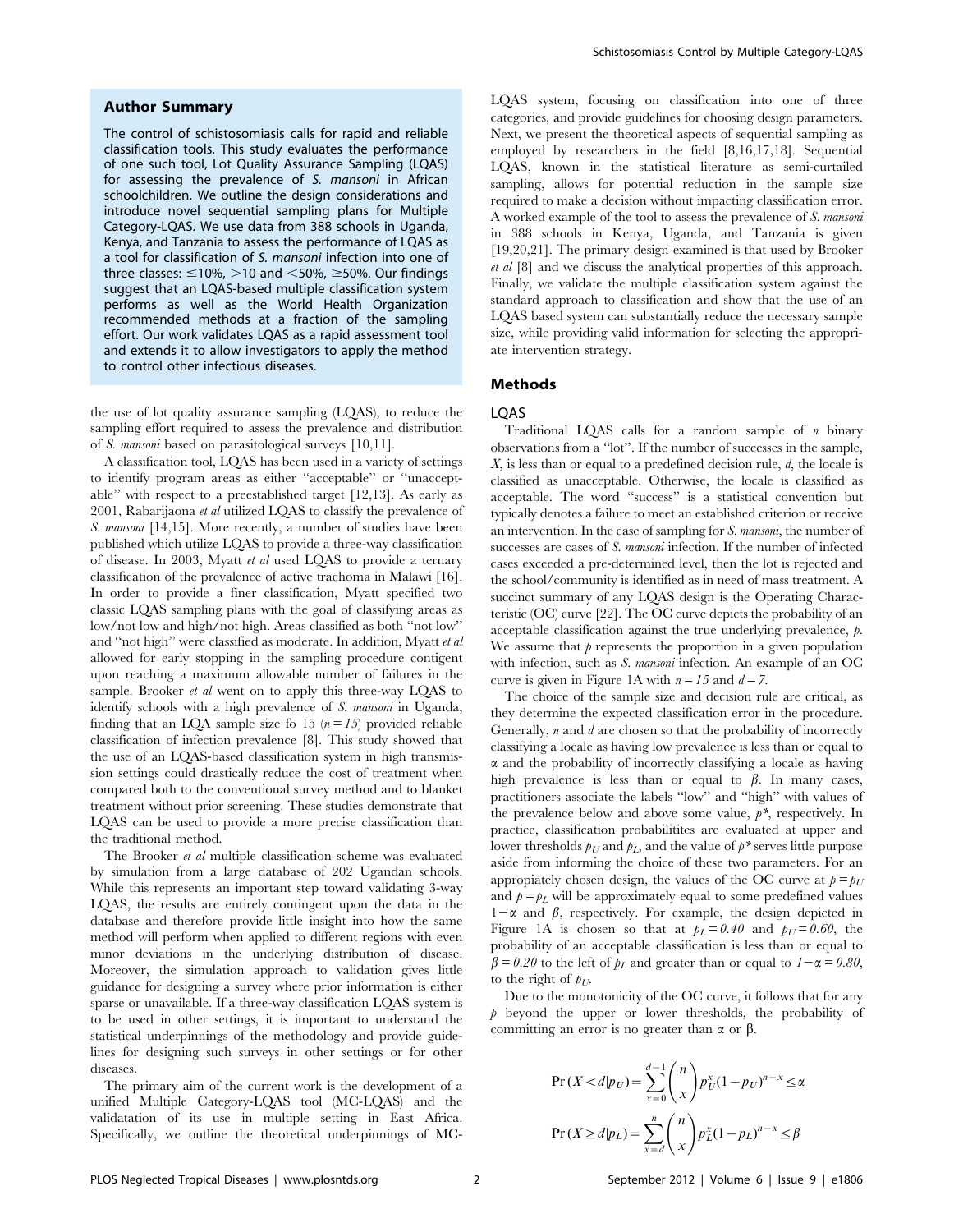#### Author Summary

The control of schistosomiasis calls for rapid and reliable classification tools. This study evaluates the performance of one such tool, Lot Quality Assurance Sampling (LQAS) for assessing the prevalence of S. mansoni in African schoolchildren. We outline the design considerations and introduce novel sequential sampling plans for Multiple Category-LQAS. We use data from 388 schools in Uganda, Kenya, and Tanzania to assess the performance of LQAS as a tool for classification of S. mansoni infection into one of three classes:  $\leq 10\%$ ,  $>10$  and  $<$ 50%,  $\geq$ 50%. Our findings suggest that an LQAS-based multiple classification system performs as well as the World Health Organization recommended methods at a fraction of the sampling effort. Our work validates LQAS as a rapid assessment tool and extends it to allow investigators to apply the method to control other infectious diseases.

the use of lot quality assurance sampling (LQAS), to reduce the sampling effort required to assess the prevalence and distribution of S. mansoni based on parasitological surveys [10,11].

A classification tool, LQAS has been used in a variety of settings to identify program areas as either ''acceptable'' or ''unacceptable'' with respect to a preestablished target [12,13]. As early as 2001, Rabarijaona et al utilized LQAS to classify the prevalence of S. mansoni [14,15]. More recently, a number of studies have been published which utilize LQAS to provide a three-way classification of disease. In 2003, Myatt et al used LQAS to provide a ternary classification of the prevalence of active trachoma in Malawi [16]. In order to provide a finer classification, Myatt specified two classic LQAS sampling plans with the goal of classifying areas as low/not low and high/not high. Areas classified as both ''not low'' and ''not high'' were classified as moderate. In addition, Myatt et al allowed for early stopping in the sampling procedure contigent upon reaching a maximum allowable number of failures in the sample. Brooker *et al* went on to apply this three-way LQAS to identify schools with a high prevalence of S. mansoni in Uganda, finding that an LQA sample size fo 15 ( $n = 15$ ) provided reliable classification of infection prevalence [8]. This study showed that the use of an LQAS-based classification system in high transmission settings could drastically reduce the cost of treatment when compared both to the conventional survey method and to blanket treatment without prior screening. These studies demonstrate that LQAS can be used to provide a more precise classification than the traditional method.

The Brooker et al multiple classification scheme was evaluated by simulation from a large database of 202 Ugandan schools. While this represents an important step toward validating 3-way LQAS, the results are entirely contingent upon the data in the database and therefore provide little insight into how the same method will perform when applied to different regions with even minor deviations in the underlying distribution of disease. Moreover, the simulation approach to validation gives little guidance for designing a survey where prior information is either sparse or unavailable. If a three-way classification LQAS system is to be used in other settings, it is important to understand the statistical underpinnings of the methodology and provide guidelines for designing such surveys in other settings or for other diseases.

The primary aim of the current work is the development of a unified Multiple Category-LQAS tool (MC-LQAS) and the validatation of its use in multiple setting in East Africa. Specifically, we outline the theoretical underpinnings of MC-

LQAS system, focusing on classification into one of three categories, and provide guidelines for choosing design parameters. Next, we present the theoretical aspects of sequential sampling as employed by researchers in the field [8,16,17,18]. Sequential LQAS, known in the statistical literature as semi-curtailed sampling, allows for potential reduction in the sample size required to make a decision without impacting classification error. A worked example of the tool to assess the prevalence of S. mansoni in 388 schools in Kenya, Uganda, and Tanzania is given [19,20,21]. The primary design examined is that used by Brooker et al [8] and we discuss the analytical properties of this approach. Finally, we validate the multiple classification system against the standard approach to classification and show that the use of an LQAS based system can substantially reduce the necessary sample size, while providing valid information for selecting the appropriate intervention strategy.

## Methods

#### LQAS

Traditional LQAS calls for a random sample of  $n$  binary observations from a ''lot''. If the number of successes in the sample,  $X$ , is less than or equal to a predefined decision rule,  $d$ , the locale is classified as unacceptable. Otherwise, the locale is classified as acceptable. The word ''success'' is a statistical convention but typically denotes a failure to meet an established criterion or receive an intervention. In the case of sampling for S. mansoni, the number of successes are cases of S. mansoni infection. If the number of infected cases exceeded a pre-determined level, then the lot is rejected and the school/community is identified as in need of mass treatment. A succinct summary of any LQAS design is the Operating Characteristic (OC) curve [22]. The OC curve depicts the probability of an acceptable classification against the true underlying prevalence, p. We assume that  $\hat{p}$  represents the proportion in a given population with infection, such as *S. mansoni* infection. An example of an OC curve is given in Figure 1A with  $n = 15$  and  $d = 7$ .

The choice of the sample size and decision rule are critical, as they determine the expected classification error in the procedure. Generally,  $n$  and  $d$  are chosen so that the probability of incorrectly classifying a locale as having low prevalence is less than or equal to  $\alpha$  and the probability of incorrectly classifying a locale as having high prevalence is less than or equal to  $\beta$ . In many cases, practitioners associate the labels ''low'' and ''high'' with values of the prevalence below and above some value,  $p^*$ , respectively. In practice, classification probabilitites are evaluated at upper and lower thresholds  $p_U$  and  $p_L$ , and the value of  $p^*$  serves little purpose aside from informing the choice of these two parameters. For an appropiately chosen design, the values of the OC curve at  $p = p_U$ and  $p = p_L$  will be approximately equal to some predefined values  $1-\alpha$  and  $\beta$ , respectively. For example, the design depicted in Figure 1A is chosen so that at  $p_L = 0.40$  and  $p_U = 0.60$ , the probability of an acceptable classification is less than or equal to  $\beta = 0.20$  to the left of  $p<sub>L</sub>$  and greater than or equal to  $1-\alpha = 0.80$ , to the right of  $p_U$ .

Due to the monotonicity of the OC curve, it follows that for any  $p$  beyond the upper or lower thresholds, the probability of committing an error is no greater than  $\alpha$  or  $\beta$ .

$$
\Pr(X < d|p_U) = \sum_{x=0}^{d-1} \binom{n}{x} p_U^x (1 - p_U)^{n-x} \le \alpha
$$
\n
$$
\Pr(X \ge d|p_L) = \sum_{x=d}^n \binom{n}{x} p_L^x (1 - p_L)^{n-x} \le \beta
$$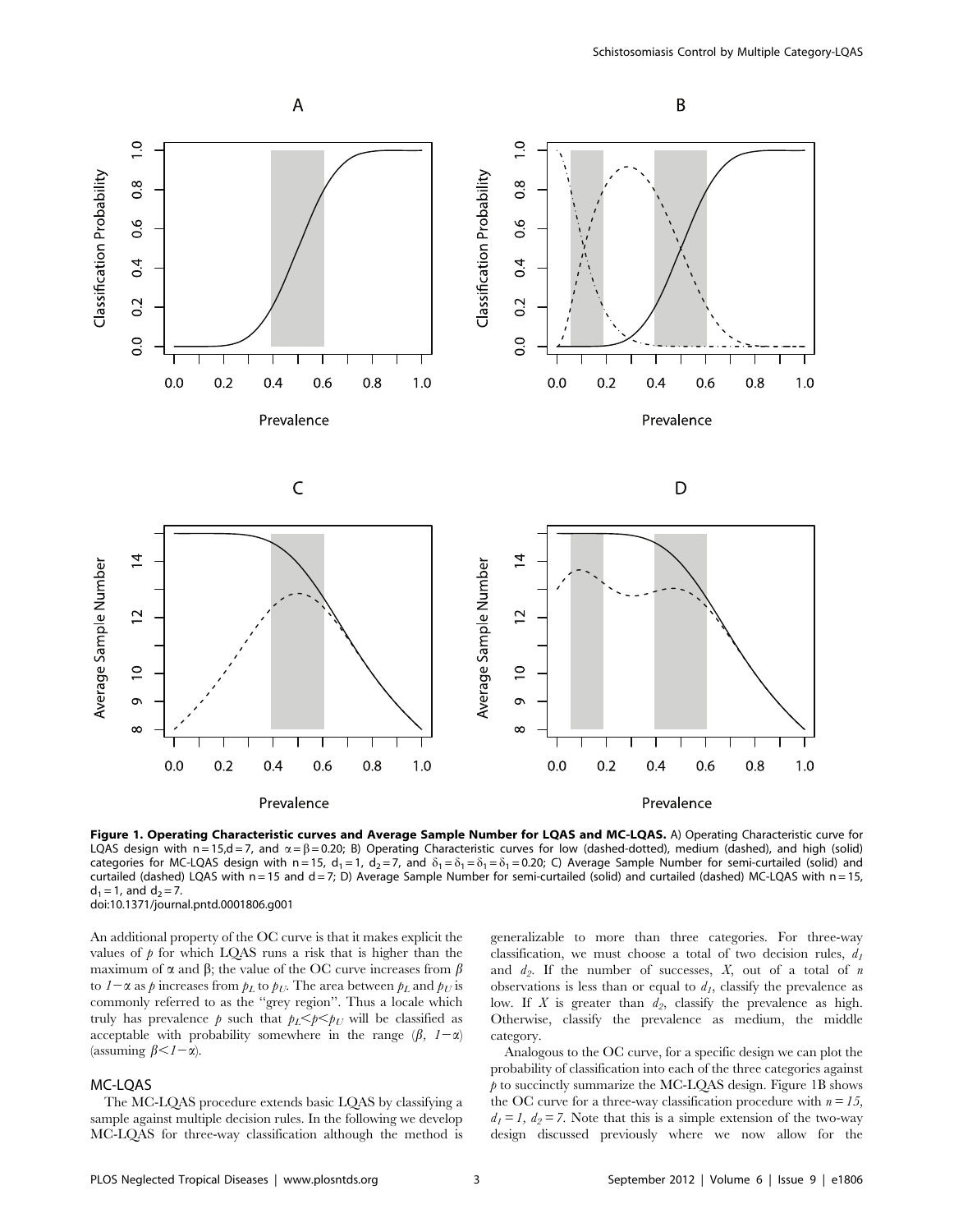

Figure 1. Operating Characteristic curves and Average Sample Number for LQAS and MC-LQAS. A) Operating Characteristic curve for LQAS design with n = 15,d = 7, and  $\alpha$  =  $\beta$  = 0.20; B) Operating Characteristic curves for low (dashed-dotted), medium (dashed), and high (solid) categories for MC-LQAS design with  $n = 15$ ,  $d_1 = 1$ ,  $d_2 = 7$ , and  $\delta_1 = \delta_1 = \delta_1 = 0.20$ ; C) Average Sample Number for semi-curtailed (solid) and curtailed (dashed) LQAS with n = 15 and d = 7; D) Average Sample Number for semi-curtailed (solid) and curtailed (dashed) MC-LQAS with n = 15,  $d_1 = 1$ , and  $d_2 = 7$ . doi:10.1371/journal.pntd.0001806.g001

An additional property of the OC curve is that it makes explicit the values of  $\beta$  for which LQAS runs a risk that is higher than the maximum of  $\alpha$  and  $\beta$ ; the value of the OC curve increases from  $\beta$ to  $1-\alpha$  as p increases from  $p_L$  to  $p_U$ . The area between  $p_L$  and  $p_U$  is commonly referred to as the ''grey region''. Thus a locale which truly has prevalence  $p$  such that  $p_L < p \lt p_U$  will be classified as acceptable with probability somewhere in the range  $(\beta, 1-\alpha)$ (assuming  $\beta < 1-\alpha$ ).

#### MC-LQAS

The MC-LQAS procedure extends basic LQAS by classifying a sample against multiple decision rules. In the following we develop MC-LQAS for three-way classification although the method is generalizable to more than three categories. For three-way classification, we must choose a total of two decision rules,  $d_1$ and  $d_2$ . If the number of successes,  $X$ , out of a total of  $n$ observations is less than or equal to  $d_1$ , classify the prevalence as low. If  $X$  is greater than  $d_2$ , classify the prevalence as high. Otherwise, classify the prevalence as medium, the middle category.

Analogous to the OC curve, for a specific design we can plot the probability of classification into each of the three categories against  $p$  to succinctly summarize the MC-LQAS design. Figure 1B shows the OC curve for a three-way classification procedure with  $n = 15$ ,  $d_1 = 1$ ,  $d_2 = 7$ . Note that this is a simple extension of the two-way design discussed previously where we now allow for the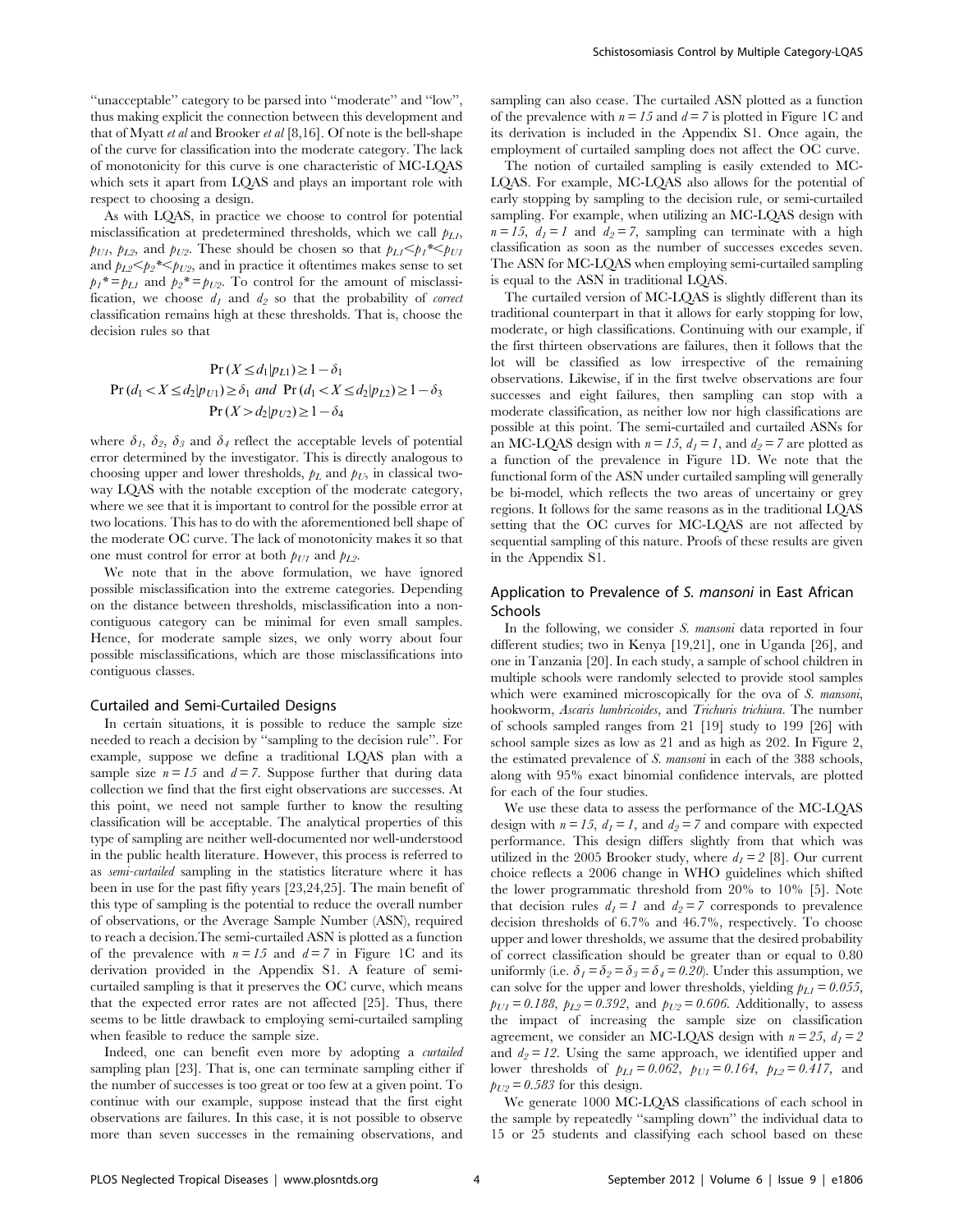''unacceptable'' category to be parsed into ''moderate'' and ''low'', thus making explicit the connection between this development and that of Myatt et al and Brooker et al [8,16]. Of note is the bell-shape of the curve for classification into the moderate category. The lack of monotonicity for this curve is one characteristic of MC-LQAS which sets it apart from LQAS and plays an important role with respect to choosing a design.

As with LQAS, in practice we choose to control for potential misclassification at predetermined thresholds, which we call  $p_{L1}$ ,  $p_{U1}$ ,  $p_{I2}$ , and  $p_{U2}$ . These should be chosen so that  $p_{L1} \leq p_1 \leq p_{U1}$ and  $p_{L2}$   $\leq$   $p_{2}$ \* $\leq$   $p_{U2}$ , and in practice it oftentimes makes sense to set  $p_1^* = p_{11}$  and  $p_2^* = p_{12}$ . To control for the amount of misclassification, we choose  $d_1$  and  $d_2$  so that the probability of *correct* classification remains high at these thresholds. That is, choose the decision rules so that

$$
\Pr(X \le d_1 | p_{L1}) \ge 1 - \delta_1
$$
\n
$$
\Pr(d_1 < X \le d_2 | p_{U1}) \ge \delta_1 \text{ and } \Pr(d_1 < X \le d_2 | p_{L2}) \ge 1 - \delta_3
$$
\n
$$
\Pr(X > d_2 | p_{U2}) \ge 1 - \delta_4
$$

where  $\delta_1$ ,  $\delta_2$ ,  $\delta_3$  and  $\delta_4$  reflect the acceptable levels of potential error determined by the investigator. This is directly analogous to choosing upper and lower thresholds,  $p<sub>L</sub>$  and  $p<sub>U</sub>$ , in classical twoway LQAS with the notable exception of the moderate category, where we see that it is important to control for the possible error at two locations. This has to do with the aforementioned bell shape of the moderate OC curve. The lack of monotonicity makes it so that one must control for error at both  $p_{U1}$  and  $p_{L2}$ .

We note that in the above formulation, we have ignored possible misclassification into the extreme categories. Depending on the distance between thresholds, misclassification into a noncontiguous category can be minimal for even small samples. Hence, for moderate sample sizes, we only worry about four possible misclassifications, which are those misclassifications into contiguous classes.

#### Curtailed and Semi-Curtailed Designs

In certain situations, it is possible to reduce the sample size needed to reach a decision by ''sampling to the decision rule''. For example, suppose we define a traditional LQAS plan with a sample size  $n = 15$  and  $d = 7$ . Suppose further that during data collection we find that the first eight observations are successes. At this point, we need not sample further to know the resulting classification will be acceptable. The analytical properties of this type of sampling are neither well-documented nor well-understood in the public health literature. However, this process is referred to as semi-curtailed sampling in the statistics literature where it has been in use for the past fifty years [23,24,25]. The main benefit of this type of sampling is the potential to reduce the overall number of observations, or the Average Sample Number (ASN), required to reach a decision.The semi-curtailed ASN is plotted as a function of the prevalence with  $n = 15$  and  $d = 7$  in Figure 1C and its derivation provided in the Appendix S1. A feature of semicurtailed sampling is that it preserves the OC curve, which means that the expected error rates are not affected [25]. Thus, there seems to be little drawback to employing semi-curtailed sampling when feasible to reduce the sample size.

Indeed, one can benefit even more by adopting a curtailed sampling plan [23]. That is, one can terminate sampling either if the number of successes is too great or too few at a given point. To continue with our example, suppose instead that the first eight observations are failures. In this case, it is not possible to observe more than seven successes in the remaining observations, and sampling can also cease. The curtailed ASN plotted as a function of the prevalence with  $n = 15$  and  $d = 7$  is plotted in Figure 1C and its derivation is included in the Appendix S1. Once again, the employment of curtailed sampling does not affect the OC curve.

The notion of curtailed sampling is easily extended to MC-LQAS. For example, MC-LQAS also allows for the potential of early stopping by sampling to the decision rule, or semi-curtailed sampling. For example, when utilizing an MC-LQAS design with  $n = 15$ ,  $d_1 = 1$  and  $d_2 = 7$ , sampling can terminate with a high classification as soon as the number of successes excedes seven. The ASN for MC-LQAS when employing semi-curtailed sampling is equal to the ASN in traditional LQAS.

The curtailed version of MC-LQAS is slightly different than its traditional counterpart in that it allows for early stopping for low, moderate, or high classifications. Continuing with our example, if the first thirteen observations are failures, then it follows that the lot will be classified as low irrespective of the remaining observations. Likewise, if in the first twelve observations are four successes and eight failures, then sampling can stop with a moderate classification, as neither low nor high classifications are possible at this point. The semi-curtailed and curtailed ASNs for an MC-LOAS design with  $n = 15$ ,  $d_1 = 1$ , and  $d_2 = 7$  are plotted as a function of the prevalence in Figure 1D. We note that the functional form of the ASN under curtailed sampling will generally be bi-model, which reflects the two areas of uncertainy or grey regions. It follows for the same reasons as in the traditional LQAS setting that the OC curves for MC-LQAS are not affected by sequential sampling of this nature. Proofs of these results are given in the Appendix S1.

## Application to Prevalence of S. mansoni in East African Schools

In the following, we consider S. mansoni data reported in four different studies; two in Kenya [19,21], one in Uganda [26], and one in Tanzania [20]. In each study, a sample of school children in multiple schools were randomly selected to provide stool samples which were examined microscopically for the ova of S. mansoni, hookworm, Ascaris lumbricoides, and Trichuris trichiura. The number of schools sampled ranges from 21 [19] study to 199 [26] with school sample sizes as low as 21 and as high as 202. In Figure 2, the estimated prevalence of S. mansoni in each of the 388 schools, along with 95% exact binomial confidence intervals, are plotted for each of the four studies.

We use these data to assess the performance of the MC-LQAS design with  $n = 15$ ,  $d_1 = 1$ , and  $d_2 = 7$  and compare with expected performance. This design differs slightly from that which was utilized in the 2005 Brooker study, where  $d_1 = 2$  [8]. Our current choice reflects a 2006 change in WHO guidelines which shifted the lower programmatic threshold from 20% to 10% [5]. Note that decision rules  $d_1 = 1$  and  $d_2 = 7$  corresponds to prevalence decision thresholds of 6.7% and 46.7%, respectively. To choose upper and lower thresholds, we assume that the desired probability of correct classification should be greater than or equal to 0.80 uniformly (i.e.  $\delta_1 = \delta_2 = \delta_3 = \delta_4 = 0.20$ ). Under this assumption, we can solve for the upper and lower thresholds, yielding  $p_{L1} = 0.055$ ,  $p_{U1} = 0.188$ ,  $p_{L2} = 0.392$ , and  $p_{U2} = 0.606$ . Additionally, to assess the impact of increasing the sample size on classification agreement, we consider an MC-LQAS design with  $n = 25$ ,  $d_1 = 2$ and  $d_2 = 12$ . Using the same approach, we identified upper and lower thresholds of  $p_{L1} = 0.062$ ,  $p_{U1} = 0.164$ ,  $p_{L2} = 0.417$ , and  $p_{U2} = 0.583$  for this design.

We generate 1000 MC-LQAS classifications of each school in the sample by repeatedly ''sampling down'' the individual data to 15 or 25 students and classifying each school based on these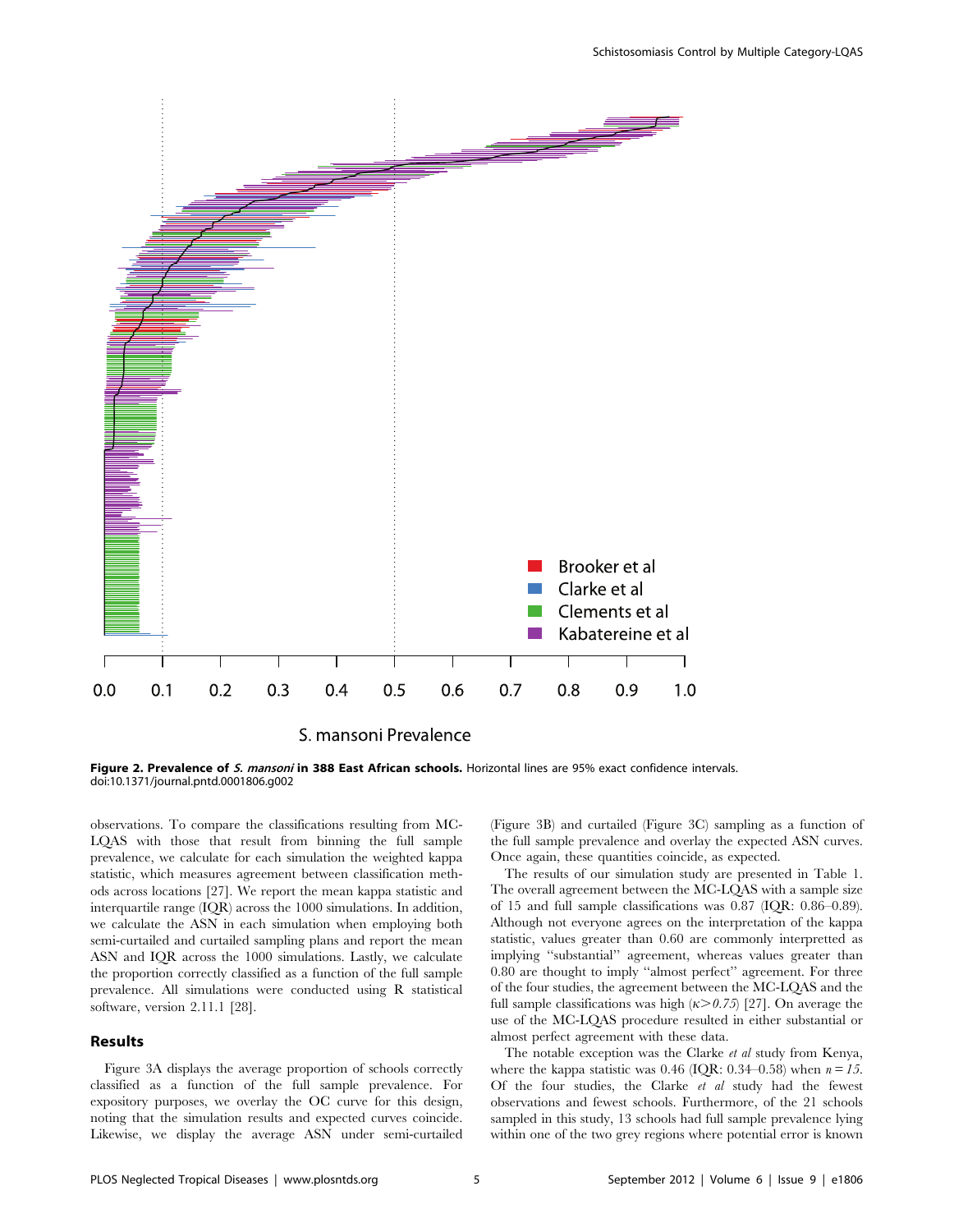

Figure 2. Prevalence of S. mansoni in 388 East African schools. Horizontal lines are 95% exact confidence intervals. doi:10.1371/journal.pntd.0001806.g002

observations. To compare the classifications resulting from MC-LQAS with those that result from binning the full sample prevalence, we calculate for each simulation the weighted kappa statistic, which measures agreement between classification methods across locations [27]. We report the mean kappa statistic and interquartile range (IQR) across the 1000 simulations. In addition, we calculate the ASN in each simulation when employing both semi-curtailed and curtailed sampling plans and report the mean ASN and IQR across the 1000 simulations. Lastly, we calculate the proportion correctly classified as a function of the full sample prevalence. All simulations were conducted using R statistical software, version 2.11.1 [28].

#### Results

Figure 3A displays the average proportion of schools correctly classified as a function of the full sample prevalence. For expository purposes, we overlay the OC curve for this design, noting that the simulation results and expected curves coincide. Likewise, we display the average ASN under semi-curtailed

(Figure 3B) and curtailed (Figure 3C) sampling as a function of the full sample prevalence and overlay the expected ASN curves. Once again, these quantities coincide, as expected.

The results of our simulation study are presented in Table 1. The overall agreement between the MC-LQAS with a sample size of 15 and full sample classifications was 0.87 (IQR: 0.86–0.89). Although not everyone agrees on the interpretation of the kappa statistic, values greater than 0.60 are commonly interpretted as implying ''substantial'' agreement, whereas values greater than 0.80 are thought to imply ''almost perfect'' agreement. For three of the four studies, the agreement between the MC-LQAS and the full sample classifications was high  $(k>0.75)$  [27]. On average the use of the MC-LQAS procedure resulted in either substantial or almost perfect agreement with these data.

The notable exception was the Clarke et al study from Kenya, where the kappa statistic was 0.46 (IQR: 0.34–0.58) when  $n = 15$ . Of the four studies, the Clarke et al study had the fewest observations and fewest schools. Furthermore, of the 21 schools sampled in this study, 13 schools had full sample prevalence lying within one of the two grey regions where potential error is known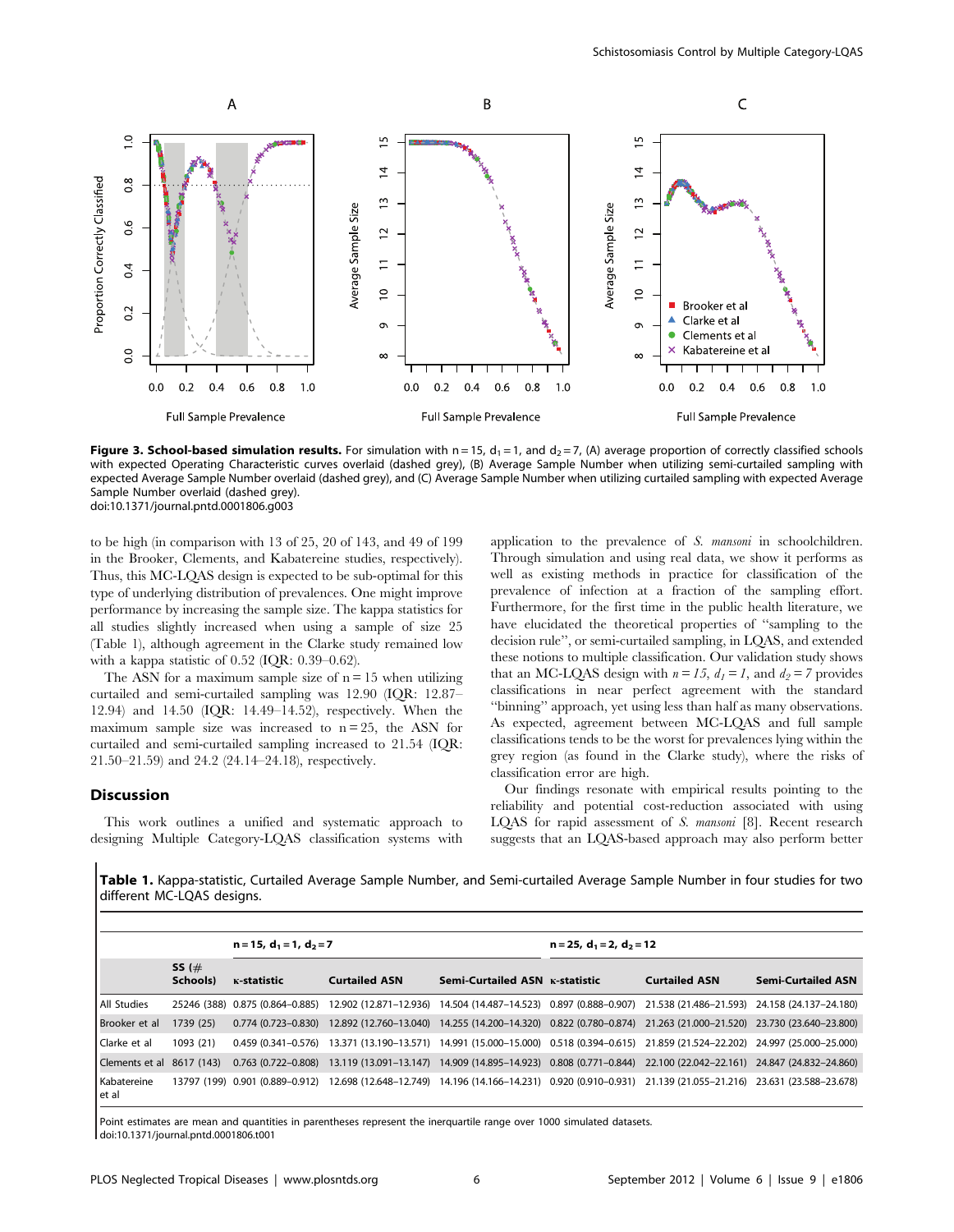

Figure 3. School-based simulation results. For simulation with  $n = 15$ ,  $d_1 = 1$ , and  $d_2 = 7$ , (A) average proportion of correctly classified schools with expected Operating Characteristic curves overlaid (dashed grey), (B) Average Sample Number when utilizing semi-curtailed sampling with expected Average Sample Number overlaid (dashed grey), and (C) Average Sample Number when utilizing curtailed sampling with expected Average Sample Number overlaid (dashed grey). doi:10.1371/journal.pntd.0001806.g003

to be high (in comparison with 13 of 25, 20 of 143, and 49 of 199 in the Brooker, Clements, and Kabatereine studies, respectively). Thus, this MC-LQAS design is expected to be sub-optimal for this type of underlying distribution of prevalences. One might improve performance by increasing the sample size. The kappa statistics for all studies slightly increased when using a sample of size 25 (Table 1), although agreement in the Clarke study remained low with a kappa statistic of 0.52 (IQR: 0.39–0.62).

The ASN for a maximum sample size of  $n = 15$  when utilizing curtailed and semi-curtailed sampling was 12.90 (IQR: 12.87– 12.94) and 14.50 (IQR: 14.49–14.52), respectively. When the maximum sample size was increased to  $n = 25$ , the ASN for curtailed and semi-curtailed sampling increased to 21.54 (IQR: 21.50–21.59) and 24.2 (24.14–24.18), respectively.

#### **Discussion**

This work outlines a unified and systematic approach to designing Multiple Category-LQAS classification systems with

application to the prevalence of S. mansoni in schoolchildren. Through simulation and using real data, we show it performs as well as existing methods in practice for classification of the prevalence of infection at a fraction of the sampling effort. Furthermore, for the first time in the public health literature, we have elucidated the theoretical properties of ''sampling to the decision rule'', or semi-curtailed sampling, in LQAS, and extended these notions to multiple classification. Our validation study shows that an MC-LQAS design with  $n = 15$ ,  $d_1 = 1$ , and  $d_2 = 7$  provides classifications in near perfect agreement with the standard ''binning'' approach, yet using less than half as many observations. As expected, agreement between MC-LQAS and full sample classifications tends to be the worst for prevalences lying within the grey region (as found in the Clarke study), where the risks of classification error are high.

Our findings resonate with empirical results pointing to the reliability and potential cost-reduction associated with using LQAS for rapid assessment of S. mansoni [8]. Recent research suggests that an LQAS-based approach may also perform better

Table 1. Kappa-statistic, Curtailed Average Sample Number, and Semi-curtailed Average Sample Number in four studies for two different MC-LQAS designs.

|                      |                        | $n = 15$ , $d_1 = 1$ , $d_2 = 7$ |                        |                                                                                                                 | $n = 25$ , $d_1 = 2$ , $d_2 = 12$ |                                                                                          |                           |
|----------------------|------------------------|----------------------------------|------------------------|-----------------------------------------------------------------------------------------------------------------|-----------------------------------|------------------------------------------------------------------------------------------|---------------------------|
|                      | SS $($ $#$<br>Schools) | K-statistic                      | <b>Curtailed ASN</b>   | Semi-Curtailed ASN K-statistic                                                                                  |                                   | <b>Curtailed ASN</b>                                                                     | <b>Semi-Curtailed ASN</b> |
| <b>All Studies</b>   | 25246 (388)            | 0.875 (0.864-0.885)              |                        | 12.902 (12.871-12.936) 14.504 (14.487-14.523) 0.897 (0.888-0.907) 21.538 (21.486-21.593) 24.158 (24.137-24.180) |                                   |                                                                                          |                           |
| Brooker et al        | 1739 (25)              | $0.774(0.723 - 0.830)$           | 12.892 (12.760-13.040) | 14.255 (14.200-14.320) 0.822 (0.780-0.874)                                                                      |                                   | 21.263 (21.000-21.520) 23.730 (23.640-23.800)                                            |                           |
| Clarke et al         | 1093 (21)              | $0.459(0.341 - 0.576)$           |                        | 13.371 (13.190-13.571) 14.991 (15.000-15.000) 0.518 (0.394-0.615) 21.859 (21.524-22.202) 24.997 (25.000-25.000) |                                   |                                                                                          |                           |
| Clements et al       | 8617 (143)             | $0.763$ $(0.722 - 0.808)$        | 13.119 (13.091-13.147) |                                                                                                                 |                                   | 14.909 (14.895-14.923) 0.808 (0.771-0.844) 22.100 (22.042-22.161) 24.847 (24.832-24.860) |                           |
| Kabatereine<br>et al |                        | 13797 (199) 0.901 (0.889-0.912)  |                        | 12.698 (12.648-12.749) 14.196 (14.166-14.231) 0.920 (0.910-0.931) 21.139 (21.055-21.216)                        |                                   |                                                                                          | 23.631 (23.588–23.678)    |

Point estimates are mean and quantities in parentheses represent the inerquartile range over 1000 simulated datasets. doi:10.1371/journal.pntd.0001806.t001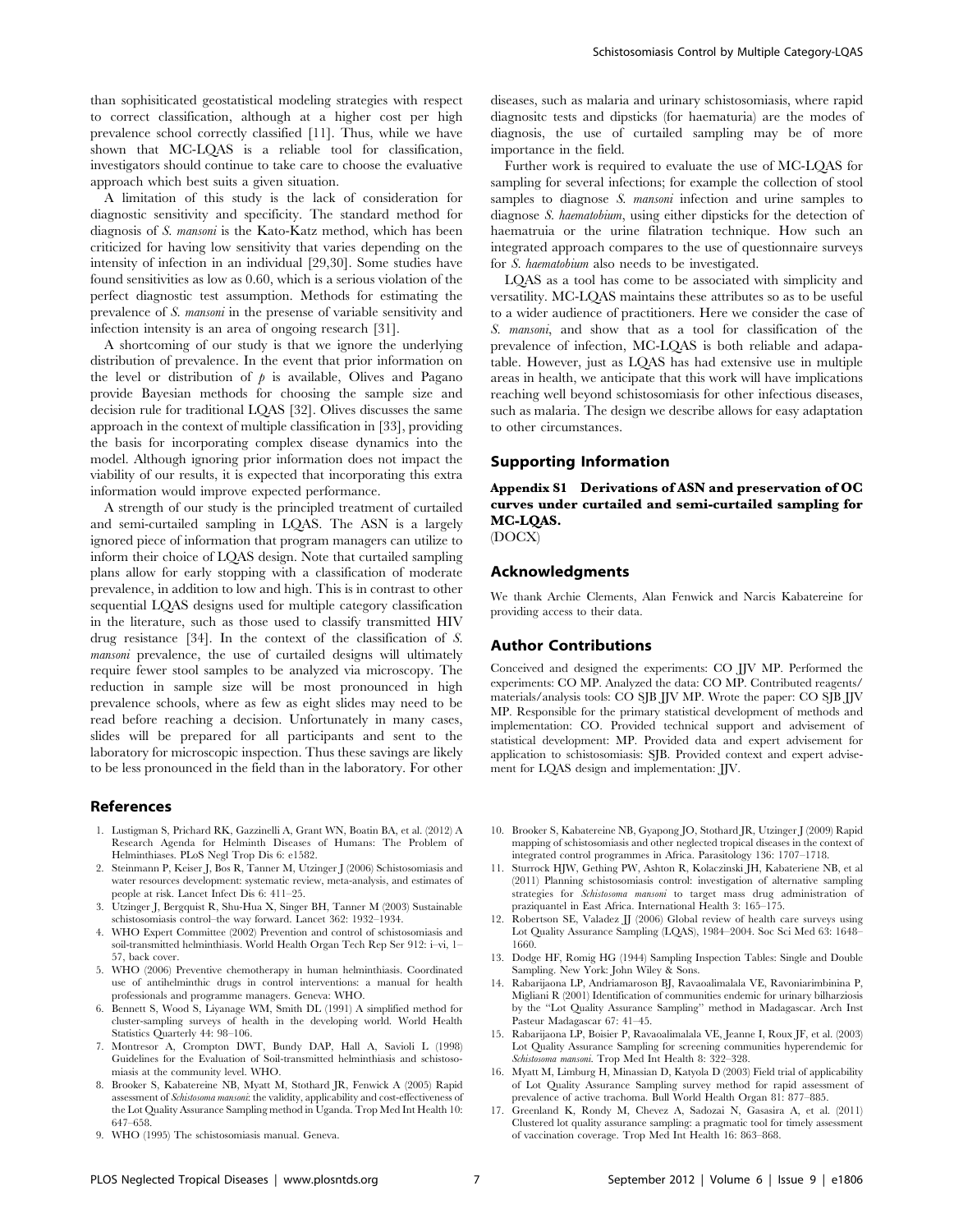than sophisiticated geostatistical modeling strategies with respect to correct classification, although at a higher cost per high prevalence school correctly classified [11]. Thus, while we have shown that MC-LQAS is a reliable tool for classification, investigators should continue to take care to choose the evaluative approach which best suits a given situation.

A limitation of this study is the lack of consideration for diagnostic sensitivity and specificity. The standard method for diagnosis of S. mansoni is the Kato-Katz method, which has been criticized for having low sensitivity that varies depending on the intensity of infection in an individual [29,30]. Some studies have found sensitivities as low as 0.60, which is a serious violation of the perfect diagnostic test assumption. Methods for estimating the prevalence of S. mansoni in the presense of variable sensitivity and infection intensity is an area of ongoing research [31].

A shortcoming of our study is that we ignore the underlying distribution of prevalence. In the event that prior information on the level or distribution of  $\phi$  is available, Olives and Pagano provide Bayesian methods for choosing the sample size and decision rule for traditional LQAS [32]. Olives discusses the same approach in the context of multiple classification in [33], providing the basis for incorporating complex disease dynamics into the model. Although ignoring prior information does not impact the viability of our results, it is expected that incorporating this extra information would improve expected performance.

A strength of our study is the principled treatment of curtailed and semi-curtailed sampling in LQAS. The ASN is a largely ignored piece of information that program managers can utilize to inform their choice of LQAS design. Note that curtailed sampling plans allow for early stopping with a classification of moderate prevalence, in addition to low and high. This is in contrast to other sequential LQAS designs used for multiple category classification in the literature, such as those used to classify transmitted HIV drug resistance [34]. In the context of the classification of S. mansoni prevalence, the use of curtailed designs will ultimately require fewer stool samples to be analyzed via microscopy. The reduction in sample size will be most pronounced in high prevalence schools, where as few as eight slides may need to be read before reaching a decision. Unfortunately in many cases, slides will be prepared for all participants and sent to the laboratory for microscopic inspection. Thus these savings are likely to be less pronounced in the field than in the laboratory. For other

#### References

- 1. Lustigman S, Prichard RK, Gazzinelli A, Grant WN, Boatin BA, et al. (2012) A Research Agenda for Helminth Diseases of Humans: The Problem of Helminthiases. PLoS Negl Trop Dis 6: e1582.
- 2. Steinmann P, Keiser J, Bos R, Tanner M, Utzinger J (2006) Schistosomiasis and water resources development: systematic review, meta-analysis, and estimates of people at risk. Lancet Infect Dis 6: 411–25.
- 3. Utzinger J, Bergquist R, Shu-Hua X, Singer BH, Tanner M (2003) Sustainable schistosomiasis control–the way forward. Lancet 362: 1932–1934.
- 4. WHO Expert Committee (2002) Prevention and control of schistosomiasis and soil-transmitted helminthiasis. World Health Organ Tech Rep Ser 912: i–vi, 1– 57, back cover.
- 5. WHO (2006) Preventive chemotherapy in human helminthiasis. Coordinated use of antihelminthic drugs in control interventions: a manual for health professionals and programme managers. Geneva: WHO.
- 6. Bennett S, Wood S, Liyanage WM, Smith DL (1991) A simplified method for cluster-sampling surveys of health in the developing world. World Health Statistics Quarterly 44: 98–106.
- 7. Montresor A, Crompton DWT, Bundy DAP, Hall A, Savioli L (1998) Guidelines for the Evaluation of Soil-transmitted helminthiasis and schistosomiasis at the community level. WHO.
- 8. Brooker S, Kabatereine NB, Myatt M, Stothard JR, Fenwick A (2005) Rapid assessment of Schistosoma mansoni: the validity, applicability and cost-effectiveness of the Lot Quality Assurance Sampling method in Uganda. Trop Med Int Health 10: 647–658.
- 9. WHO (1995) The schistosomiasis manual. Geneva.

diseases, such as malaria and urinary schistosomiasis, where rapid diagnositc tests and dipsticks (for haematuria) are the modes of diagnosis, the use of curtailed sampling may be of more importance in the field.

Further work is required to evaluate the use of MC-LQAS for sampling for several infections; for example the collection of stool samples to diagnose S. *mansoni* infection and urine samples to diagnose S. haematobium, using either dipsticks for the detection of haematruia or the urine filatration technique. How such an integrated approach compares to the use of questionnaire surveys for S. haematobium also needs to be investigated.

LQAS as a tool has come to be associated with simplicity and versatility. MC-LQAS maintains these attributes so as to be useful to a wider audience of practitioners. Here we consider the case of S. mansoni, and show that as a tool for classification of the prevalence of infection, MC-LQAS is both reliable and adapatable. However, just as LQAS has had extensive use in multiple areas in health, we anticipate that this work will have implications reaching well beyond schistosomiasis for other infectious diseases, such as malaria. The design we describe allows for easy adaptation to other circumstances.

#### Supporting Information

Appendix S1 Derivations of ASN and preservation of OC curves under curtailed and semi-curtailed sampling for MC-LQAS.

(DOCX)

## Acknowledgments

We thank Archie Clements, Alan Fenwick and Narcis Kabatereine for providing access to their data.

#### Author Contributions

Conceived and designed the experiments: CO JJV MP. Performed the experiments: CO MP. Analyzed the data: CO MP. Contributed reagents/ materials/analysis tools: CO SJB JJV MP. Wrote the paper: CO SJB JJV MP. Responsible for the primary statistical development of methods and implementation: CO. Provided technical support and advisement of statistical development: MP. Provided data and expert advisement for application to schistosomiasis: SJB. Provided context and expert advisement for LQAS design and implementation: JJV.

- 10. Brooker S, Kabatereine NB, Gyapong JO, Stothard JR, Utzinger J (2009) Rapid mapping of schistosomiasis and other neglected tropical diseases in the context of integrated control programmes in Africa. Parasitology 136: 1707–1718.
- 11. Sturrock HJW, Gething PW, Ashton R, Kolaczinski JH, Kabateriene NB, et al (2011) Planning schistosomiasis control: investigation of alternative sampling strategies for Schistosoma mansoni to target mass drug administration of praziquantel in East Africa. International Health 3: 165–175.
- 12. Robertson SE, Valadez JJ (2006) Global review of health care surveys using Lot Quality Assurance Sampling (LQAS), 1984–2004. Soc Sci Med 63: 1648– 1660.
- 13. Dodge HF, Romig HG (1944) Sampling Inspection Tables: Single and Double Sampling. New York: John Wiley & Sons.
- 14. Rabarijaona LP, Andriamaroson BJ, Ravaoalimalala VE, Ravoniarimbinina P, Migliani R (2001) Identification of communities endemic for urinary bilharziosis by the ''Lot Quality Assurance Sampling'' method in Madagascar. Arch Inst Pasteur Madagascar 67: 41–45.
- 15. Rabarijaona LP, Boisier P, Ravaoalimalala VE, Jeanne I, Roux JF, et al. (2003) Lot Quality Assurance Sampling for screening communities hyperendemic for Schistosoma mansoni. Trop Med Int Health 8: 322–328.
- 16. Myatt M, Limburg H, Minassian D, Katyola D (2003) Field trial of applicability of Lot Quality Assurance Sampling survey method for rapid assessment of prevalence of active trachoma. Bull World Health Organ 81: 877–885.
- 17. Greenland K, Rondy M, Chevez A, Sadozai N, Gasasira A, et al. (2011) Clustered lot quality assurance sampling: a pragmatic tool for timely assessment of vaccination coverage. Trop Med Int Health 16: 863–868.